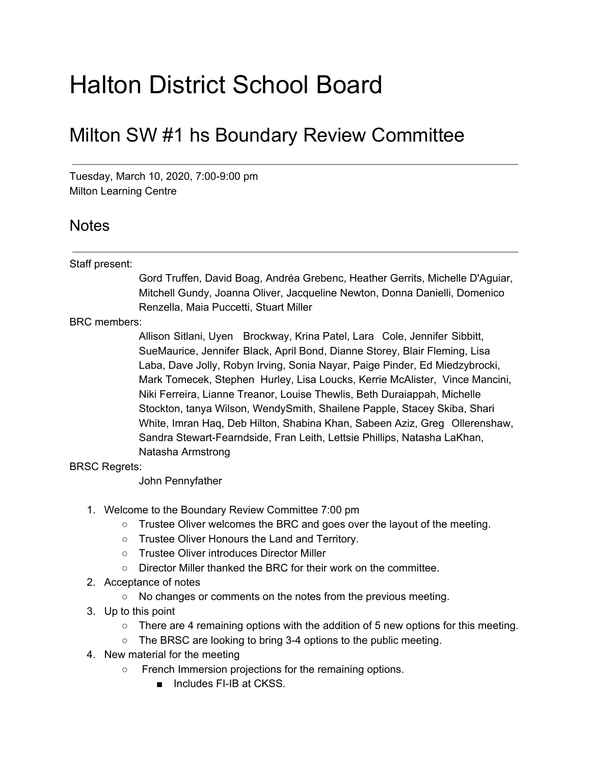## Halton District School Board

## Milton SW #1 hs Boundary Review Committee

Tuesday, March 10, 2020, 7:00-9:00 pm Milton Learning Centre

## Notes

## Staff present:

Gord Truffen, David Boag, Andréa Grebenc, Heather Gerrits, Michelle D'Aguiar, Mitchell Gundy, Joanna Oliver, Jacqueline Newton, Donna Danielli, Domenico Renzella, Maia Puccetti, Stuart Miller

BRC members:

Allison Sitlani, Uyen Brockway, Krina Patel, Lara Cole, Jennifer Sibbitt, SueMaurice, Jennifer Black, April Bond, Dianne Storey, Blair Fleming, Lisa Laba, Dave Jolly, Robyn Irving, Sonia Nayar, Paige Pinder, Ed Miedzybrocki, Mark Tomecek, Stephen Hurley, Lisa Loucks, Kerrie McAlister, Vince Mancini, Niki Ferreira, Lianne Treanor, Louise Thewlis, Beth Duraiappah, Michelle Stockton, tanya Wilson, WendySmith, Shailene Papple, Stacey Skiba, Shari White, Imran Haq, Deb Hilton, Shabina Khan, Sabeen Aziz, Greg Ollerenshaw, Sandra Stewart-Fearndside, Fran Leith, Lettsie Phillips, Natasha LaKhan, Natasha Armstrong

BRSC Regrets:

John Pennyfather

- 1. Welcome to the Boundary Review Committee 7:00 pm
	- Trustee Oliver welcomes the BRC and goes over the layout of the meeting.
	- Trustee Oliver Honours the Land and Territory.
	- Trustee Oliver introduces Director Miller
	- Director Miller thanked the BRC for their work on the committee.
- 2. Acceptance of notes
	- No changes or comments on the notes from the previous meeting.
- 3. Up to this point
	- There are 4 remaining options with the addition of 5 new options for this meeting.
	- The BRSC are looking to bring 3-4 options to the public meeting.
- 4. New material for the meeting
	- French Immersion projections for the remaining options.
		- Includes FI-IB at CKSS.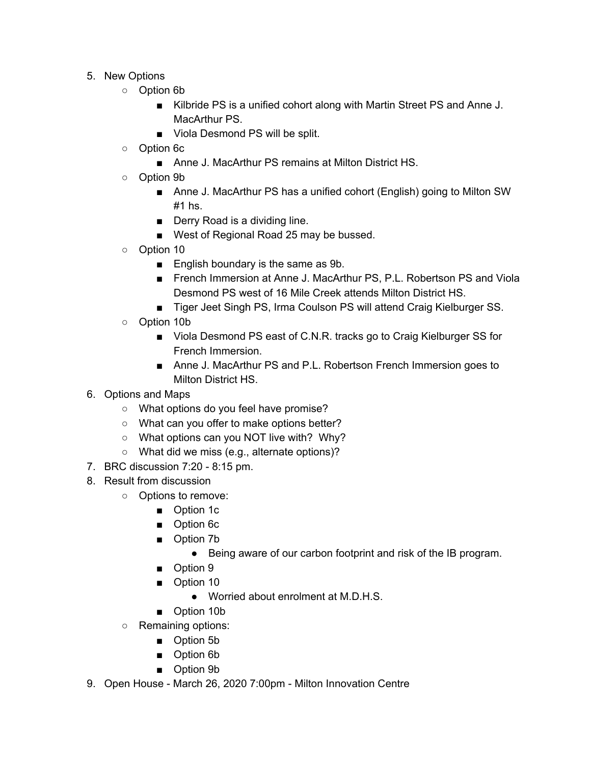- 5. New Options
	- Option 6b
		- Kilbride PS is a unified cohort along with Martin Street PS and Anne J. MacArthur PS.
		- Viola Desmond PS will be split.
	- Option 6c
		- Anne J. MacArthur PS remains at Milton District HS.
	- Option 9b
		- Anne J. MacArthur PS has a unified cohort (English) going to Milton SW #1 hs.
		- Derry Road is a dividing line.
		- West of Regional Road 25 may be bussed.
	- Option 10
		- English boundary is the same as 9b.
		- French Immersion at Anne J. MacArthur PS, P.L. Robertson PS and Viola Desmond PS west of 16 Mile Creek attends Milton District HS.
		- Tiger Jeet Singh PS, Irma Coulson PS will attend Craig Kielburger SS.
	- Option 10b
		- Viola Desmond PS east of C.N.R. tracks go to Craig Kielburger SS for French Immersion.
		- Anne J. MacArthur PS and P.L. Robertson French Immersion goes to Milton District HS.
- 6. Options and Maps
	- What options do you feel have promise?
	- What can you offer to make options better?
	- What options can you NOT live with? Why?
	- What did we miss (e.g., alternate options)?
- 7. BRC discussion 7:20 8:15 pm.
- 8. Result from discussion
	- Options to remove:
		- Option 1c
		- Option 6c
		- Option 7b
			- Being aware of our carbon footprint and risk of the IB program.
		- Option 9
		- Option 10
			- Worried about enrolment at M.D.H.S.
		- Option 10b
	- Remaining options:
		- Option 5b
		- Option 6b
		- Option 9b
- 9. Open House March 26, 2020 7:00pm Milton Innovation Centre